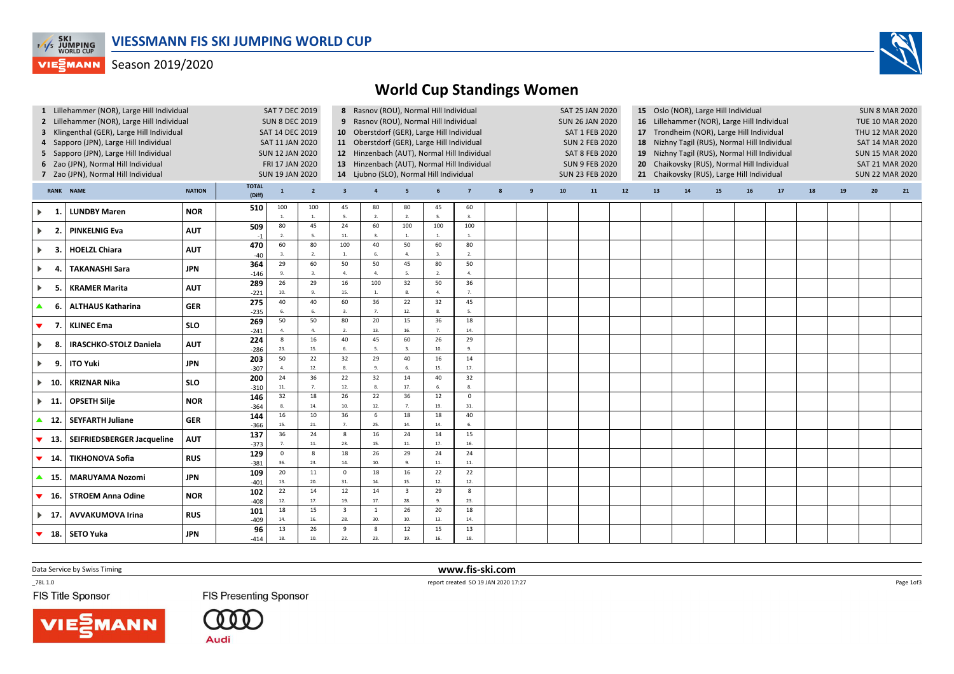

## **VIESMANN** Season 2019/2020



| 1 Lillehammer (NOR), Large Hill Individual<br>2 Lillehammer (NOR), Large Hill Individual<br>3 Klingenthal (GER), Large Hill Individual<br>4 Sapporo (JPN), Large Hill Individual<br>5 Sapporo (JPN), Large Hill Individual<br>6 Zao (JPN), Normal Hill Individual<br>7 Zao (JPN), Normal Hill Individual |                               |            |                        | <b>SAT 7 DEC 2019</b><br><b>SUN 8 DEC 2019</b><br>SAT 14 DEC 2019<br>SAT 11 JAN 2020<br><b>SUN 12 JAN 2020</b><br>FRI 17 JAN 2020<br><b>SUN 19 JAN 2020</b> |                       |                                | 8 Rasnov (ROU), Normal Hill Individual<br>9 Rasnov (ROU), Normal Hill Individual<br>10 Oberstdorf (GER), Large Hill Individual<br>11 Oberstdorf (GER), Large Hill Individual<br>12 Hinzenbach (AUT), Normal Hill Individual<br>13 Hinzenbach (AUT), Normal Hill Individual<br>14 Ljubno (SLO), Normal Hill Individual |                                |                 |                       |   |   | SAT 25 JAN 2020<br><b>SUN 26 JAN 2020</b><br>SAT 1 FEB 2020<br><b>SUN 2 FEB 2020</b><br><b>SAT 8 FEB 2020</b><br><b>SUN 9 FEB 2020</b><br><b>SUN 23 FEB 2020</b> |    |      | 15 Oslo (NOR), Large Hill Individual<br>16 Lillehammer (NOR), Large Hill Individual<br>17 Trondheim (NOR), Large Hill Individual<br>Nizhny Tagil (RUS), Normal Hill Individual<br>18<br>19 Nizhny Tagil (RUS), Normal Hill Individual<br>20 Chaikovsky (RUS), Normal Hill Individual<br>21 Chaikovsky (RUS), Large Hill Individual |    |    |    |    |    | <b>SUN 8 MAR 2020</b><br><b>TUE 10 MAR 2020</b><br>THU 12 MAR 2020<br><b>SAT 14 MAR 2020</b><br><b>SUN 15 MAR 2020</b><br><b>SAT 21 MAR 2020</b><br><b>SUN 22 MAR 2020</b> |    |    |
|----------------------------------------------------------------------------------------------------------------------------------------------------------------------------------------------------------------------------------------------------------------------------------------------------------|-------------------------------|------------|------------------------|-------------------------------------------------------------------------------------------------------------------------------------------------------------|-----------------------|--------------------------------|-----------------------------------------------------------------------------------------------------------------------------------------------------------------------------------------------------------------------------------------------------------------------------------------------------------------------|--------------------------------|-----------------|-----------------------|---|---|------------------------------------------------------------------------------------------------------------------------------------------------------------------|----|------|------------------------------------------------------------------------------------------------------------------------------------------------------------------------------------------------------------------------------------------------------------------------------------------------------------------------------------|----|----|----|----|----|----------------------------------------------------------------------------------------------------------------------------------------------------------------------------|----|----|
| <b>RANK NAME</b><br><b>NATION</b>                                                                                                                                                                                                                                                                        |                               |            | <b>TOTAL</b><br>(Diff) | 1                                                                                                                                                           | $\overline{2}$        | $\overline{\mathbf{3}}$        | $\overline{4}$                                                                                                                                                                                                                                                                                                        | 5                              | 6               | $\overline{7}$        | 8 | 9 | 10                                                                                                                                                               | 11 | $12$ | 13                                                                                                                                                                                                                                                                                                                                 | 14 | 15 | 16 | 17 | 18 | 19                                                                                                                                                                         | 20 | 21 |
| $\blacktriangleright$                                                                                                                                                                                                                                                                                    | <b>LUNDBY Maren</b>           | <b>NOR</b> | 510                    | 100<br>1.                                                                                                                                                   | 100<br>$\overline{1}$ | 45<br>5.                       | 80<br>$\overline{2}$                                                                                                                                                                                                                                                                                                  | 80<br>2.                       | 45<br>5.        | 60<br>$\overline{3}$  |   |   |                                                                                                                                                                  |    |      |                                                                                                                                                                                                                                                                                                                                    |    |    |    |    |    |                                                                                                                                                                            |    |    |
| $\blacktriangleright$<br>$\overline{2}$                                                                                                                                                                                                                                                                  | <b>PINKELNIG Eva</b>          | <b>AUT</b> | 509<br>$-1$            | 80<br>2.                                                                                                                                                    | 45<br>5               | 24<br>11.                      | 60<br>$\overline{3}$                                                                                                                                                                                                                                                                                                  | 100<br>$\overline{1}$          | 100<br>1.       | 100<br>$\overline{1}$ |   |   |                                                                                                                                                                  |    |      |                                                                                                                                                                                                                                                                                                                                    |    |    |    |    |    |                                                                                                                                                                            |    |    |
| $\blacktriangleright$<br>-3.                                                                                                                                                                                                                                                                             | <b>HOELZL Chiara</b>          | <b>AUT</b> | 470<br>$-40$           | 60<br>3.                                                                                                                                                    | 80<br>$\overline{2}$  | 100<br>1.                      | 40<br>6.                                                                                                                                                                                                                                                                                                              | 50<br>$\overline{4}$ .         | 60<br>3.        | 80<br>2.              |   |   |                                                                                                                                                                  |    |      |                                                                                                                                                                                                                                                                                                                                    |    |    |    |    |    |                                                                                                                                                                            |    |    |
| $\blacktriangleright$<br>4.                                                                                                                                                                                                                                                                              | <b>TAKANASHI Sara</b>         | <b>JPN</b> | 364<br>$-146$          | 29<br>9.                                                                                                                                                    | 60<br>$\overline{3}$  | 50<br>4.                       | 50<br>4.                                                                                                                                                                                                                                                                                                              | 45<br>5.                       | 80<br>2.        | 50<br>$\overline{4}$  |   |   |                                                                                                                                                                  |    |      |                                                                                                                                                                                                                                                                                                                                    |    |    |    |    |    |                                                                                                                                                                            |    |    |
| $\blacktriangleright$<br>5                                                                                                                                                                                                                                                                               | <b>KRAMER Marita</b>          | <b>AUT</b> | 289<br>$-221$          | 26<br>10.                                                                                                                                                   | 29<br>$\overline{9}$  | 16<br>15.                      | 100<br>1.                                                                                                                                                                                                                                                                                                             | 32<br>8.                       | 50<br>4.        | 36<br>$\overline{7}$  |   |   |                                                                                                                                                                  |    |      |                                                                                                                                                                                                                                                                                                                                    |    |    |    |    |    |                                                                                                                                                                            |    |    |
| ▲<br>-6.                                                                                                                                                                                                                                                                                                 | <b>ALTHAUS Katharina</b>      | <b>GER</b> | 275<br>$-235$          | 40<br>6.                                                                                                                                                    | 40<br>6               | 60<br>3.                       | 36<br>7.                                                                                                                                                                                                                                                                                                              | 22<br>12.                      | 32<br>8.        | 45<br>- 5.            |   |   |                                                                                                                                                                  |    |      |                                                                                                                                                                                                                                                                                                                                    |    |    |    |    |    |                                                                                                                                                                            |    |    |
| ▼<br>7.                                                                                                                                                                                                                                                                                                  | <b>KLINEC Ema</b>             | <b>SLO</b> | 269<br>$-241$          | 50<br>4.                                                                                                                                                    | 50<br>$\overline{4}$  | 80<br>2.                       | 20<br>13.                                                                                                                                                                                                                                                                                                             | 15<br>16.                      | 36<br>7.        | 18<br>14.             |   |   |                                                                                                                                                                  |    |      |                                                                                                                                                                                                                                                                                                                                    |    |    |    |    |    |                                                                                                                                                                            |    |    |
| $\blacktriangleright$<br>-8.                                                                                                                                                                                                                                                                             | <b>IRASCHKO-STOLZ Daniela</b> | <b>AUT</b> | 224<br>$-286$          | 8<br>23.                                                                                                                                                    | 16<br>15.             | 40<br>6.                       | 45<br>-5.                                                                                                                                                                                                                                                                                                             | 60<br>3.                       | 26<br>10.       | 29<br>9.              |   |   |                                                                                                                                                                  |    |      |                                                                                                                                                                                                                                                                                                                                    |    |    |    |    |    |                                                                                                                                                                            |    |    |
| $\blacktriangleright$<br>9.                                                                                                                                                                                                                                                                              | <b>ITO Yuki</b>               | <b>JPN</b> | 203<br>$-307$          | 50<br>4.                                                                                                                                                    | 22<br>12.             | 32<br>8.                       | 29<br>9.                                                                                                                                                                                                                                                                                                              | 40<br>6.                       | 16<br>15.       | 14<br>17.             |   |   |                                                                                                                                                                  |    |      |                                                                                                                                                                                                                                                                                                                                    |    |    |    |    |    |                                                                                                                                                                            |    |    |
| $\blacktriangleright$ 10.                                                                                                                                                                                                                                                                                | <b>KRIZNAR Nika</b>           | <b>SLO</b> | 200<br>$-310$          | 24<br>$11. \,$                                                                                                                                              | 36<br>$\overline{7}$  | 22<br>12.                      | 32<br>8.                                                                                                                                                                                                                                                                                                              | 14<br>17.                      | 40<br>6.        | 32<br>8               |   |   |                                                                                                                                                                  |    |      |                                                                                                                                                                                                                                                                                                                                    |    |    |    |    |    |                                                                                                                                                                            |    |    |
| $\blacktriangleright$ 11.                                                                                                                                                                                                                                                                                | <b>OPSETH Silje</b>           | <b>NOR</b> | 146<br>$-364$          | 32<br>8.                                                                                                                                                    | 18<br>14.             | 26<br>10.                      | 22<br>12.                                                                                                                                                                                                                                                                                                             | 36<br>7 <sub>1</sub>           | 12<br>19.       | $\mathbf{0}$<br>31.   |   |   |                                                                                                                                                                  |    |      |                                                                                                                                                                                                                                                                                                                                    |    |    |    |    |    |                                                                                                                                                                            |    |    |
| $\blacktriangle$ 12.                                                                                                                                                                                                                                                                                     | <b>SEYFARTH Juliane</b>       | <b>GER</b> | 144<br>$-366$          | 16<br>15.                                                                                                                                                   | 10<br>21.             | 36<br>$\overline{7}$           | 6<br>25.                                                                                                                                                                                                                                                                                                              | 18<br>14.                      | 18<br>14.       | 40<br>6.              |   |   |                                                                                                                                                                  |    |      |                                                                                                                                                                                                                                                                                                                                    |    |    |    |    |    |                                                                                                                                                                            |    |    |
| ▼<br>- 13.                                                                                                                                                                                                                                                                                               | SEIFRIEDSBERGER Jacqueline    | <b>AUT</b> | 137<br>$-373$          | 36<br>7.                                                                                                                                                    | 24<br>11.             | 8<br>23.                       | 16<br>15.                                                                                                                                                                                                                                                                                                             | 24<br>11.                      | 14<br>17.       | 15<br>16.             |   |   |                                                                                                                                                                  |    |      |                                                                                                                                                                                                                                                                                                                                    |    |    |    |    |    |                                                                                                                                                                            |    |    |
| $\blacktriangledown$ 14.                                                                                                                                                                                                                                                                                 | <b>TIKHONOVA Sofia</b>        | <b>RUS</b> | 129<br>$-381$          | $\mathsf 0$<br>36.                                                                                                                                          | -8<br>23.             | 18<br>14.                      | 26<br>10.                                                                                                                                                                                                                                                                                                             | 29<br>9.                       | 24<br>$\bf 11.$ | 24<br>11.             |   |   |                                                                                                                                                                  |    |      |                                                                                                                                                                                                                                                                                                                                    |    |    |    |    |    |                                                                                                                                                                            |    |    |
| ▲ 15.                                                                                                                                                                                                                                                                                                    | <b>MARUYAMA Nozomi</b>        | <b>JPN</b> | 109<br>$-401$          | 20<br>13.                                                                                                                                                   | 11<br>20.             | $\mathsf 0$<br>31.             | 18<br>14.                                                                                                                                                                                                                                                                                                             | 16<br>15.                      | 22<br>12.       | 22<br>12.             |   |   |                                                                                                                                                                  |    |      |                                                                                                                                                                                                                                                                                                                                    |    |    |    |    |    |                                                                                                                                                                            |    |    |
| ▼<br>- 16.                                                                                                                                                                                                                                                                                               | <b>STROEM Anna Odine</b>      | <b>NOR</b> | 102<br>$-408$          | 22<br>$12.$                                                                                                                                                 | 14<br>17.             | 12<br>19.                      | 14<br>17.                                                                                                                                                                                                                                                                                                             | $\overline{\mathbf{3}}$<br>28. | 29<br>9.        | 8<br>23.              |   |   |                                                                                                                                                                  |    |      |                                                                                                                                                                                                                                                                                                                                    |    |    |    |    |    |                                                                                                                                                                            |    |    |
| $\blacktriangleright$ 17.                                                                                                                                                                                                                                                                                | <b>AVVAKUMOVA Irina</b>       | <b>RUS</b> | 101                    | 18<br>14.                                                                                                                                                   | 15<br>16.             | $\overline{\mathbf{3}}$<br>28. | 1<br>30.                                                                                                                                                                                                                                                                                                              | 26<br>10.                      | 20<br>13.       | 18<br>14.             |   |   |                                                                                                                                                                  |    |      |                                                                                                                                                                                                                                                                                                                                    |    |    |    |    |    |                                                                                                                                                                            |    |    |
| $\blacktriangledown$ 18.                                                                                                                                                                                                                                                                                 | SETO Yuka                     | <b>JPN</b> | $-409$<br>96<br>$-414$ | 13<br>18.                                                                                                                                                   | 26<br>10.             | 9<br>22.                       | 8<br>23.                                                                                                                                                                                                                                                                                                              | 12<br>19.                      | 15<br>16.       | 13<br>18.             |   |   |                                                                                                                                                                  |    |      |                                                                                                                                                                                                                                                                                                                                    |    |    |    |    |    |                                                                                                                                                                            |    |    |

www.fis-ski.com

Data Service by Swiss Timing

 report created SO 19 JAN 2020 17:27  $-78L 1.0$ 

FIS Title Sponsor

**FIS Presenting Sponsor** 

**Audi** 

Page 1of3

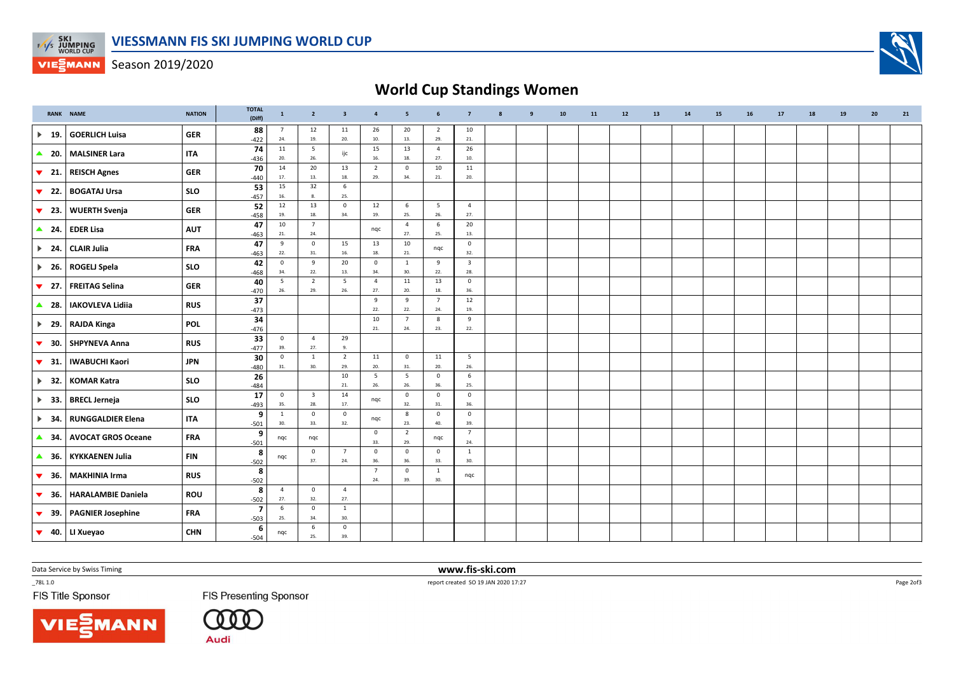

**VIESMANN** Season 2019/2020

## World Cup Standings Women

|                                | RANK NAME                 | <b>NATION</b> | <b>TOTAL</b><br>(Diff)            | $\mathbf{1}$          | $\overline{2}$                 | $\overline{\mathbf{3}}$ | $\overline{4}$        | $\overline{\phantom{a}}$ | 6                      | $\overline{7}$                 | 8 | $\mathbf{q}$ | 10 | 11 | $12$ | 13 | 14 | 15 | 16 | 17 | 18 | 19 | 20 | 21 |
|--------------------------------|---------------------------|---------------|-----------------------------------|-----------------------|--------------------------------|-------------------------|-----------------------|--------------------------|------------------------|--------------------------------|---|--------------|----|----|------|----|----|----|----|----|----|----|----|----|
| $\blacktriangleright$<br>19.   | <b>GOERLICH Luisa</b>     | <b>GER</b>    | 88<br>$-422$                      | $\overline{7}$<br>24. | 12<br>19.                      | 11<br>20.               | 26<br>10.             | 20<br>13.                | $\overline{2}$<br>29.  | 10<br>$21.$                    |   |              |    |    |      |    |    |    |    |    |    |    |    |    |
| $\triangle$ 20.                | <b>MALSINER Lara</b>      | <b>ITA</b>    | 74<br>$-436$                      | 11<br>20.             | 5<br>26.                       | ijc                     | 15<br>16.             | 13<br>18.                | $\overline{4}$<br>27.  | 26<br>10.                      |   |              |    |    |      |    |    |    |    |    |    |    |    |    |
| $\blacktriangledown$ 21.       | <b>REISCH Agnes</b>       | <b>GER</b>    | 70<br>$-440$                      | 14<br>17.             | 20<br>13.                      | 13<br>18.               | $\overline{2}$<br>29. | $\mathbf 0$<br>34.       | 10<br>21.              | 11<br>20.                      |   |              |    |    |      |    |    |    |    |    |    |    |    |    |
| $\blacktriangledown$<br>22.    | <b>BOGATAJ Ursa</b>       | <b>SLO</b>    | 53<br>$-457$                      | 15<br>16.             | 32<br>8.                       | 6<br>25.                |                       |                          |                        |                                |   |              |    |    |      |    |    |    |    |    |    |    |    |    |
| $\blacktriangledown$<br>23.    | <b>WUERTH Svenja</b>      | <b>GER</b>    | 52<br>$-458$                      | 12<br>19.             | 13<br>18.                      | $\mathsf 0$<br>34.      | 12<br>19.             | $\,$ 6<br>25.            | $5\overline{)}$<br>26. | $\overline{4}$<br>27.          |   |              |    |    |      |    |    |    |    |    |    |    |    |    |
| $\triangle$ 24.                | <b>EDER Lisa</b>          | <b>AUT</b>    | 47<br>$-463$                      | 10<br>21.             | $\overline{7}$<br>24.          |                         | nqc                   | $\overline{4}$<br>27.    | 6<br>25.               | 20<br>13.                      |   |              |    |    |      |    |    |    |    |    |    |    |    |    |
| $\blacktriangleright$ 24.      | <b>CLAIR Julia</b>        | <b>FRA</b>    | 47<br>$-463$                      | 9<br>22.              | $\mathsf{O}$<br>31.            | 15<br>16.               | 13<br>18.             | 10<br>21.                | nqc                    | $\mathbf 0$<br>32.             |   |              |    |    |      |    |    |    |    |    |    |    |    |    |
| $\blacktriangleright$ 26.      | <b>ROGELJ Spela</b>       | <b>SLO</b>    | 42<br>$-468$                      | $\mathbf{0}$<br>34.   | 9<br>22.                       | 20<br>13.               | $\mathbf 0$<br>34.    | 1<br>30.                 | 9<br>22.               | $\overline{\mathbf{3}}$<br>28. |   |              |    |    |      |    |    |    |    |    |    |    |    |    |
| $\blacktriangledown$<br>27.    | <b>FREITAG Selina</b>     | <b>GER</b>    | 40<br>$-470$                      | 5<br>26.              | $\overline{2}$<br>29.          | 5<br>26.                | $\overline{4}$<br>27. | 11<br>20.                | 13<br>18.              | $\mathbf 0$<br>36.             |   |              |    |    |      |    |    |    |    |    |    |    |    |    |
| 28.<br>$\blacktriangle$        | <b>IAKOVLEVA Lidiia</b>   | <b>RUS</b>    | 37<br>$-473$                      |                       |                                |                         | 9<br>22.              | 9<br>22.                 | $7\overline{ }$<br>24. | 12<br>19.                      |   |              |    |    |      |    |    |    |    |    |    |    |    |    |
| $\blacktriangleright$ 29.      | <b>RAJDA Kinga</b>        | <b>POL</b>    | 34<br>$-476$                      |                       |                                |                         | 10<br>21.             | $\overline{7}$<br>24.    | 8<br>23.               | 9<br>22.                       |   |              |    |    |      |    |    |    |    |    |    |    |    |    |
| $\blacktriangledown$<br>30.    | <b>SHPYNEVA Anna</b>      | <b>RUS</b>    | 33<br>$-477$                      | $\mathbf 0$<br>39.    | $\overline{4}$<br>27.          | 29<br>9.                |                       |                          |                        |                                |   |              |    |    |      |    |    |    |    |    |    |    |    |    |
| $\blacktriangledown$<br>- 31.  | <b>IWABUCHI Kaori</b>     | <b>JPN</b>    | 30<br>$-480$                      | $\mathbf 0$<br>31.    | $\overline{1}$<br>30.          | $\overline{2}$<br>29.   | 11<br>20.             | $\mathbf 0$<br>31.       | 11<br>20.              | 5<br>26.                       |   |              |    |    |      |    |    |    |    |    |    |    |    |    |
| $\blacktriangleright$<br>32.   | <b>KOMAR Katra</b>        | <b>SLO</b>    | 26<br>$-484$                      |                       |                                | 10<br>21.               | 5<br>26.              | 5<br>26.                 | $\mathbf 0$<br>36.     | 6<br>25.                       |   |              |    |    |      |    |    |    |    |    |    |    |    |    |
| $\blacktriangleright$<br>- 33. | <b>BRECL Jerneja</b>      | <b>SLO</b>    | 17<br>$-493$                      | $\mathbf 0$<br>35.    | $\overline{\mathbf{3}}$<br>28. | 14<br>17.               | nqc                   | $\mathsf 0$<br>32.       | $\mathbf 0$<br>31.     | $\overline{\mathbf{0}}$<br>36. |   |              |    |    |      |    |    |    |    |    |    |    |    |    |
| $\blacktriangleright$<br>- 34  | <b>RUNGGALDIER Elena</b>  | <b>ITA</b>    | 9<br>$-501$                       | 1<br>30.              | $\mathsf 0$<br>33.             | $\overline{0}$<br>32.   | nqc                   | 8<br>23.                 | $\mathbf 0$<br>40.     | $\overline{\mathbf{0}}$<br>39. |   |              |    |    |      |    |    |    |    |    |    |    |    |    |
| $\blacktriangle$<br>34.        | <b>AVOCAT GROS Oceane</b> | <b>FRA</b>    | 9<br>$-501$                       | nqc                   | nqc                            |                         | $\mathbf 0$<br>33.    | $\overline{2}$<br>29.    | nqc                    | $\overline{7}$<br>24.          |   |              |    |    |      |    |    |    |    |    |    |    |    |    |
| 36.<br>$\blacktriangle$        | <b>KYKKAENEN Julia</b>    | <b>FIN</b>    | 8<br>$-502$                       | nqc                   | $\mathbf{0}$<br>37.            | $\overline{7}$<br>24.   | $\mathbf 0$<br>36.    | $\mathbf 0$<br>36.       | $\mathbf 0$<br>33.     | <sup>1</sup><br>30.            |   |              |    |    |      |    |    |    |    |    |    |    |    |    |
| ▼<br>-36.                      | <b>MAKHINIA Irma</b>      | <b>RUS</b>    | 8<br>$-502$                       |                       |                                |                         | $\overline{7}$<br>24. | $\mathbf 0$<br>39.       | 1<br>30.               | nqc                            |   |              |    |    |      |    |    |    |    |    |    |    |    |    |
| 36.<br>$\blacktriangledown$    | <b>HARALAMBIE Daniela</b> | <b>ROU</b>    | 8<br>$-502$                       | $\overline{4}$<br>27. | $\mathbf 0$<br>32.             | $\overline{4}$<br>27.   |                       |                          |                        |                                |   |              |    |    |      |    |    |    |    |    |    |    |    |    |
| 39.<br>$\blacktriangledown$    | <b>PAGNIER Josephine</b>  | <b>FRA</b>    | $\overline{\mathbf{z}}$<br>$-503$ | 6<br>25.              | $\mathbf 0$<br>34.             | $\,$ 1 $\,$<br>30.      |                       |                          |                        |                                |   |              |    |    |      |    |    |    |    |    |    |    |    |    |
| $\blacktriangledown$           | 40. LI Xueyao             | <b>CHN</b>    | 6<br>$-504$                       | nqc                   | 6<br>25.                       | $\mathbf 0$<br>39.      |                       |                          |                        |                                |   |              |    |    |      |    |    |    |    |    |    |    |    |    |

Data Service by Swiss Timing

**NN** 

 $-78L 1.0$ 

FIS Title Sponsor

**FIS Presenting Sponsor** 

 $\begin{smallmatrix} \text{\large 0} & \text{\large 0} & \text{\large 0} \end{smallmatrix}$ **Audi** 

 www.fis-ski.comreport created SO 19 JAN 2020 17:27

Page 2of3